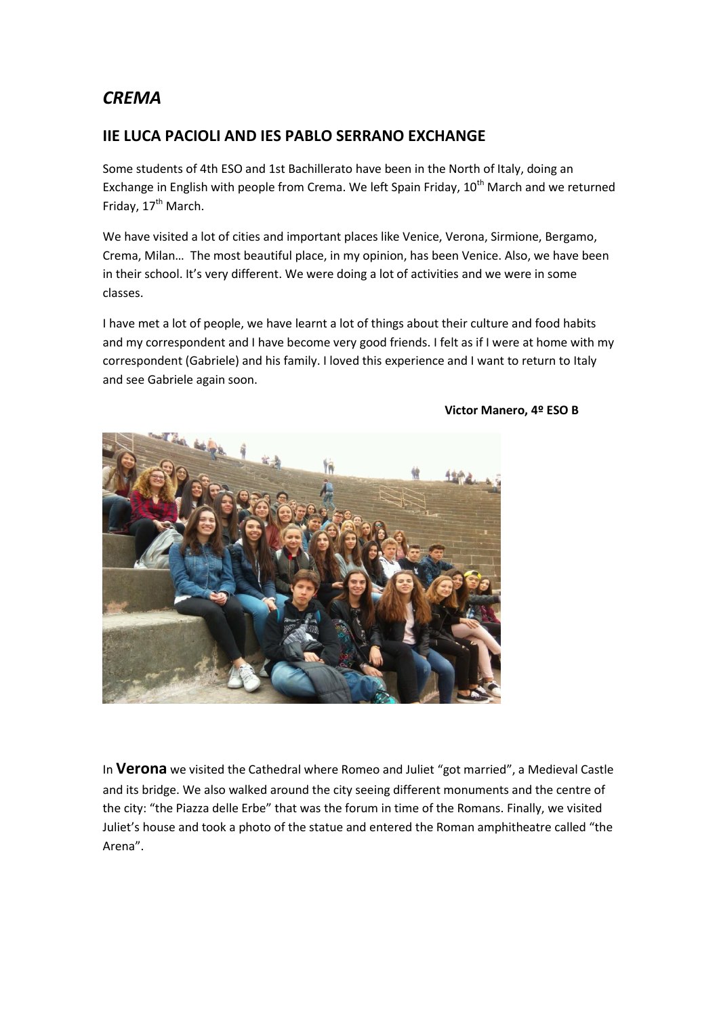## *CREMA*

## **IIE LUCA PACIOLI AND IES PABLO SERRANO EXCHANGE**

Some students of 4th ESO and 1st Bachillerato have been in the North of Italy, doing an Exchange in English with people from Crema. We left Spain Friday,  $10^{th}$  March and we returned Friday, 17<sup>th</sup> March.

We have visited a lot of cities and important places like Venice, Verona, Sirmione, Bergamo, Crema, Milan… The most beautiful place, in my opinion, has been Venice. Also, we have been in their school. It's very different. We were doing a lot of activities and we were in some classes.

I have met a lot of people, we have learnt a lot of things about their culture and food habits and my correspondent and I have become very good friends. I felt as if I were at home with my correspondent (Gabriele) and his family. I loved this experience and I want to return to Italy and see Gabriele again soon.



**Victor Manero, 4º ESO B**

In **Verona** we visited the Cathedral where Romeo and Juliet "got married", a Medieval Castle and its bridge. We also walked around the city seeing different monuments and the centre of the city: "the Piazza delle Erbe" that was the forum in time of the Romans. Finally, we visited Juliet's house and took a photo of the statue and entered the Roman amphitheatre called "the Arena".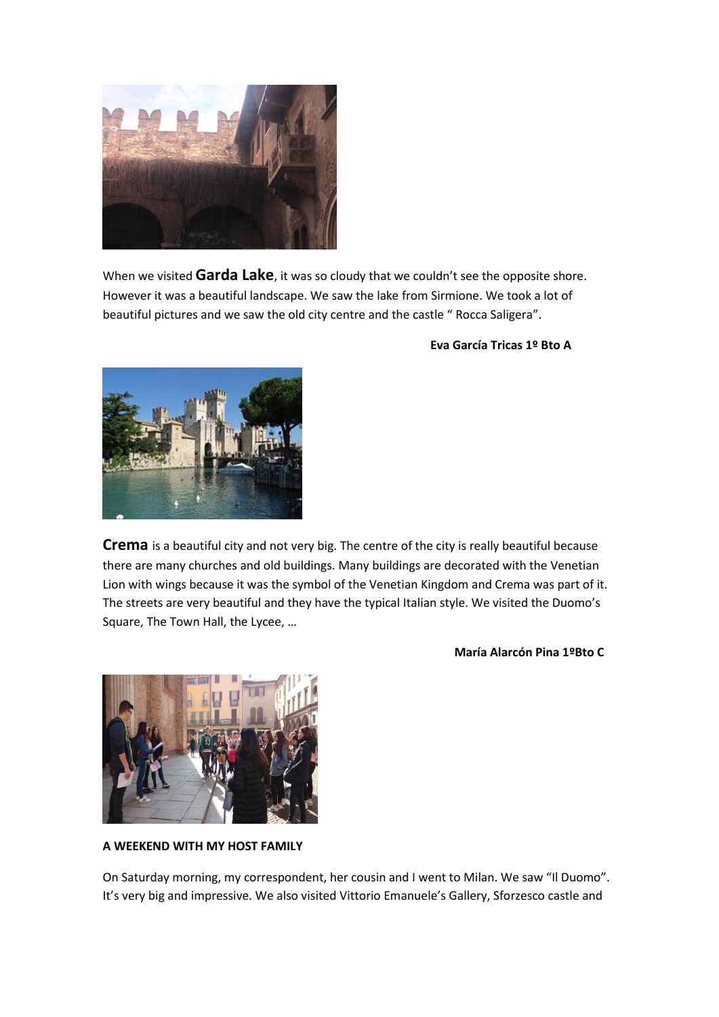

When we visited **Garda Lake**, it was so cloudy that we couldn't see the opposite shore. However it was a beautiful landscape. We saw the lake from Sirmione. We took a lot of beautiful pictures and we saw the old city centre and the castle " Rocca Saligera".



 **Eva García Tricas 1º Bto A**

**Crema** is a beautiful city and not very big. The centre of the city is really beautiful because there are many churches and old buildings. Many buildings are decorated with the Venetian Lion with wings because it was the symbol of the Venetian Kingdom and Crema was part of it. The streets are very beautiful and they have the typical Italian style. We visited the Duomo's Square, The Town Hall, the Lycee, …

## **María Alarcón Pina 1ºBto C**



**A WEEKEND WITH MY HOST FAMILY**

On Saturday morning, my correspondent, her cousin and I went to Milan. We saw "Il Duomo". It's very big and impressive. We also visited Vittorio Emanuele's Gallery, Sforzesco castle and